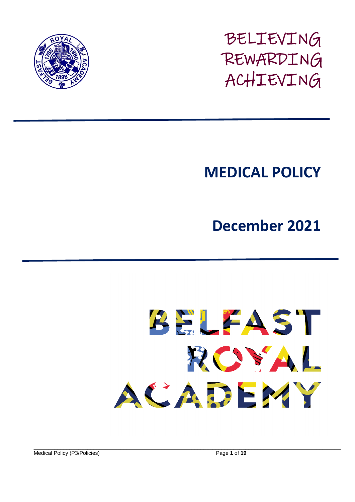

BELIEVING REWARDING ACHIEVING

# **MEDICAL POLICY**

**December 2021**



\_\_\_\_\_\_\_\_\_\_\_\_\_\_\_\_\_\_\_\_\_\_\_\_\_\_\_\_\_\_\_\_\_\_\_\_\_\_\_\_\_\_\_\_\_\_\_\_\_\_\_\_\_\_\_\_\_\_\_\_\_\_\_\_\_\_\_\_\_\_\_\_\_\_\_\_\_\_\_\_\_\_\_\_\_\_\_\_\_\_\_\_\_\_\_\_\_\_\_\_\_\_\_ Medical Policy (P3/Policies) Page **1** of **19**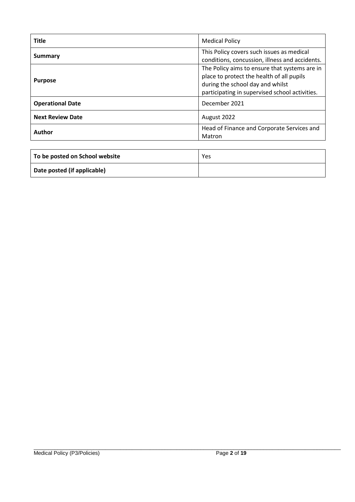| <b>Title</b>            | <b>Medical Policy</b>                                                                                                                                                            |  |
|-------------------------|----------------------------------------------------------------------------------------------------------------------------------------------------------------------------------|--|
| <b>Summary</b>          | This Policy covers such issues as medical<br>conditions, concussion, illness and accidents.                                                                                      |  |
| <b>Purpose</b>          | The Policy aims to ensure that systems are in<br>place to protect the health of all pupils<br>during the school day and whilst<br>participating in supervised school activities. |  |
| <b>Operational Date</b> | December 2021                                                                                                                                                                    |  |
| <b>Next Review Date</b> | August 2022                                                                                                                                                                      |  |
| Author                  | Head of Finance and Corporate Services and<br>Matron                                                                                                                             |  |

| To be posted on School website | Yes |
|--------------------------------|-----|
| Date posted (if applicable)    |     |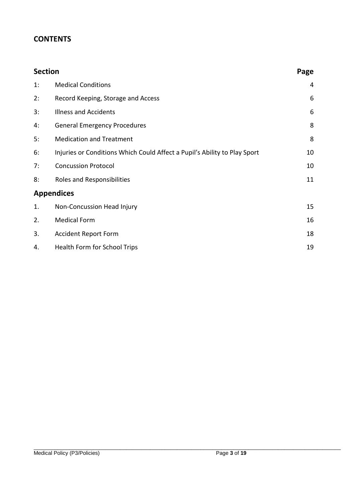## **CONTENTS**

| <b>Section</b> |                                                                           | Page |
|----------------|---------------------------------------------------------------------------|------|
| 1:             | <b>Medical Conditions</b>                                                 | 4    |
| 2:             | Record Keeping, Storage and Access                                        | 6    |
| 3:             | <b>Illness and Accidents</b>                                              | 6    |
| 4:             | <b>General Emergency Procedures</b>                                       | 8    |
| 5:             | <b>Medication and Treatment</b>                                           | 8    |
| 6:             | Injuries or Conditions Which Could Affect a Pupil's Ability to Play Sport | 10   |
| 7:             | <b>Concussion Protocol</b>                                                | 10   |
| 8:             | Roles and Responsibilities                                                | 11   |
|                | <b>Appendices</b>                                                         |      |
| 1.             | Non-Concussion Head Injury                                                | 15   |
| 2.             | <b>Medical Form</b>                                                       | 16   |
| 3.             | <b>Accident Report Form</b>                                               | 18   |
| 4.             | Health Form for School Trips                                              | 19   |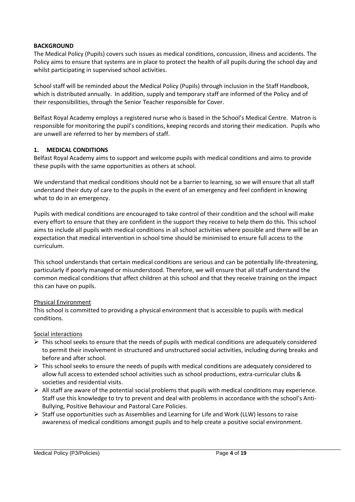#### **BACKGROUND**

The Medical Policy (Pupils) covers such issues as medical conditions, concussion, illness and accidents. The Policy aims to ensure that systems are in place to protect the health of all pupils during the school day and whilst participating in supervised school activities.

School staff will be reminded about the Medical Policy (Pupils) through inclusion in the Staff Handbook, which is distributed annually. In addition, supply and temporary staff are informed of the Policy and of their responsibilities, through the Senior Teacher responsible for Cover.

Belfast Royal Academy employs a registered nurse who is based in the School's Medical Centre. Matron is responsible for monitoring the pupil's conditions, keeping records and storing their medication. Pupils who are unwell are referred to her by members of staff.

#### **1. MEDICAL CONDITIONS**

Belfast Royal Academy aims to support and welcome pupils with medical conditions and aims to provide these pupils with the same opportunities as others at school.

We understand that medical conditions should not be a barrier to learning, so we will ensure that all staff understand their duty of care to the pupils in the event of an emergency and feel confident in knowing what to do in an emergency.

Pupils with medical conditions are encouraged to take control of their condition and the school will make every effort to ensure that they are confident in the support they receive to help them do this. This school aims to include all pupils with medical conditions in all school activities where possible and there will be an expectation that medical intervention in school time should be minimised to ensure full access to the curriculum.

This school understands that certain medical conditions are serious and can be potentially life-threatening, particularly if poorly managed or misunderstood. Therefore, we will ensure that all staff understand the common medical conditions that affect children at this school and that they receive training on the impact this can have on pupils.

#### Physical Environment

This school is committed to providing a physical environment that is accessible to pupils with medical conditions.

#### Social interactions

- $\triangleright$  This school seeks to ensure that the needs of pupils with medical conditions are adequately considered to permit their involvement in structured and unstructured social activities, including during breaks and before and after school.
- $\triangleright$  This school seeks to ensure the needs of pupils with medical conditions are adequately considered to allow full access to extended school activities such as school productions, extra-curricular clubs & societies and residential visits.
- $\triangleright$  All staff are aware of the potential social problems that pupils with medical conditions may experience. Staff use this knowledge to try to prevent and deal with problems in accordance with the school's Anti-Bullying, Positive Behaviour and Pastoral Care Policies.
- $\triangleright$  Staff use opportunities such as Assemblies and Learning for Life and Work (LLW) lessons to raise awareness of medical conditions amongst pupils and to help create a positive social environment.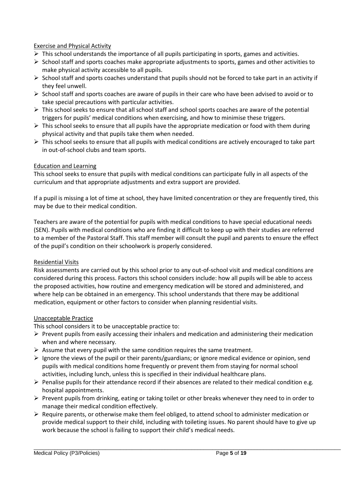#### Exercise and Physical Activity

- $\triangleright$  This school understands the importance of all pupils participating in sports, games and activities.
- $\triangleright$  School staff and sports coaches make appropriate adjustments to sports, games and other activities to make physical activity accessible to all pupils.
- $\triangleright$  School staff and sports coaches understand that pupils should not be forced to take part in an activity if they feel unwell.
- $\triangleright$  School staff and sports coaches are aware of pupils in their care who have been advised to avoid or to take special precautions with particular activities.
- $\triangleright$  This school seeks to ensure that all school staff and school sports coaches are aware of the potential triggers for pupils' medical conditions when exercising, and how to minimise these triggers.
- $\triangleright$  This school seeks to ensure that all pupils have the appropriate medication or food with them during physical activity and that pupils take them when needed.
- $\triangleright$  This school seeks to ensure that all pupils with medical conditions are actively encouraged to take part in out-of-school clubs and team sports.

#### Education and Learning

This school seeks to ensure that pupils with medical conditions can participate fully in all aspects of the curriculum and that appropriate adjustments and extra support are provided.

If a pupil is missing a lot of time at school, they have limited concentration or they are frequently tired, this may be due to their medical condition.

Teachers are aware of the potential for pupils with medical conditions to have special educational needs (SEN). Pupils with medical conditions who are finding it difficult to keep up with their studies are referred to a member of the Pastoral Staff. This staff member will consult the pupil and parents to ensure the effect of the pupil's condition on their schoolwork is properly considered.

#### Residential Visits

Risk assessments are carried out by this school prior to any out-of-school visit and medical conditions are considered during this process. Factors this school considers include: how all pupils will be able to access the proposed activities, how routine and emergency medication will be stored and administered, and where help can be obtained in an emergency. This school understands that there may be additional medication, equipment or other factors to consider when planning residential visits.

#### Unacceptable Practice

This school considers it to be unacceptable practice to:

- $\triangleright$  Prevent pupils from easily accessing their inhalers and medication and administering their medication when and where necessary.
- $\triangleright$  Assume that every pupil with the same condition requires the same treatment.
- $\triangleright$  Ignore the views of the pupil or their parents/guardians; or ignore medical evidence or opinion, send pupils with medical conditions home frequently or prevent them from staying for normal school activities, including lunch, unless this is specified in their individual healthcare plans.
- $\triangleright$  Penalise pupils for their attendance record if their absences are related to their medical condition e.g. hospital appointments.
- $\triangleright$  Prevent pupils from drinking, eating or taking toilet or other breaks whenever they need to in order to manage their medical condition effectively.
- $\triangleright$  Require parents, or otherwise make them feel obliged, to attend school to administer medication or provide medical support to their child, including with toileting issues. No parent should have to give up work because the school is failing to support their child's medical needs.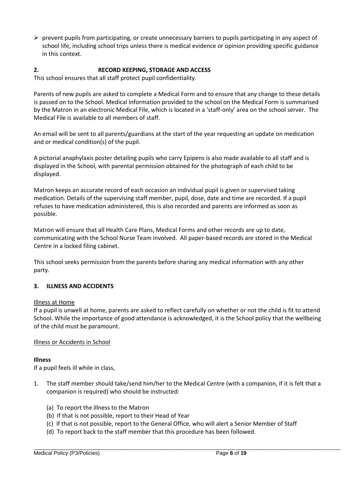$\triangleright$  prevent pupils from participating, or create unnecessary barriers to pupils participating in any aspect of school life, including school trips unless there is medical evidence or opinion providing specific guidance in this context.

#### **2. RECORD KEEPING, STORAGE AND ACCESS**

This school ensures that all staff protect pupil confidentiality.

Parents of new pupils are asked to complete a Medical Form and to ensure that any change to these details is passed on to the School. Medical information provided to the school on the Medical Form is summarised by the Matron in an electronic Medical File, which is located in a 'staff-only' area on the school server. The Medical File is available to all members of staff.

An email will be sent to all parents/guardians at the start of the year requesting an update on medication and or medical condition(s) of the pupil.

A pictorial anaphylaxis poster detailing pupils who carry Epipens is also made available to all staff and is displayed in the School, with parental permission obtained for the photograph of each child to be displayed.

Matron keeps an accurate record of each occasion an individual pupil is given or supervised taking medication. Details of the supervising staff member, pupil, dose, date and time are recorded. If a pupil refuses to have medication administered, this is also recorded and parents are informed as soon as possible.

Matron will ensure that all Health Care Plans, Medical Forms and other records are up to date, communicating with the School Nurse Team involved. All paper-based records are stored in the Medical Centre in a locked filing cabinet.

This school seeks permission from the parents before sharing any medical information with any other party.

#### **3. ILLNESS AND ACCIDENTS**

#### Illness at Home

If a pupil is unwell at home, parents are asked to reflect carefully on whether or not the child is fit to attend School. While the importance of good attendance is acknowledged, it is the School policy that the wellbeing of the child must be paramount.

#### Illness or Accidents in School

#### **Illness**

If a pupil feels ill while in class,

- 1. The staff member should take/send him/her to the Medical Centre (with a companion, if it is felt that a companion is required) who should be instructed:
	- (a) To report the illness to the Matron
	- (b) If that is not possible, report to their Head of Year
	- (c) If that is not possible, report to the General Office, who will alert a Senior Member of Staff
	- (d) To report back to the staff member that this procedure has been followed.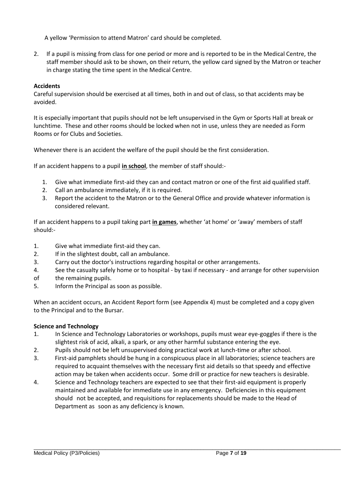A yellow 'Permission to attend Matron' card should be completed.

2. If a pupil is missing from class for one period or more and is reported to be in the Medical Centre, the staff member should ask to be shown, on their return, the yellow card signed by the Matron or teacher in charge stating the time spent in the Medical Centre.

#### **Accidents**

Careful supervision should be exercised at all times, both in and out of class, so that accidents may be avoided.

It is especially important that pupils should not be left unsupervised in the Gym or Sports Hall at break or lunchtime. These and other rooms should be locked when not in use, unless they are needed as Form Rooms or for Clubs and Societies.

Whenever there is an accident the welfare of the pupil should be the first consideration.

If an accident happens to a pupil **in school**, the member of staff should:-

- 1. Give what immediate first-aid they can and contact matron or one of the first aid qualified staff.
- 2. Call an ambulance immediately, if it is required.
- 3. Report the accident to the Matron or to the General Office and provide whatever information is considered relevant.

If an accident happens to a pupil taking part **in games**, whether 'at home' or 'away' members of staff should:-

- 1. Give what immediate first-aid they can.
- 2. If in the slightest doubt, call an ambulance.
- 3. Carry out the doctor's instructions regarding hospital or other arrangements.
- 4. See the casualty safely home or to hospital by taxi if necessary and arrange for other supervision
- of the remaining pupils.
- 5. Inform the Principal as soon as possible.

When an accident occurs, an Accident Report form (see Appendix 4) must be completed and a copy given to the Principal and to the Bursar.

#### **Science and Technology**

- 1. In Science and Technology Laboratories or workshops, pupils must wear eye-goggles if there is the slightest risk of acid, alkali, a spark, or any other harmful substance entering the eye.
- 2. Pupils should not be left unsupervised doing practical work at lunch-time or after school.
- 3. First-aid pamphlets should be hung in a conspicuous place in all laboratories; science teachers are required to acquaint themselves with the necessary first aid details so that speedy and effective action may be taken when accidents occur. Some drill or practice for new teachers is desirable.
- 4. Science and Technology teachers are expected to see that their first-aid equipment is properly maintained and available for immediate use in any emergency. Deficiencies in this equipment should not be accepted, and requisitions for replacements should be made to the Head of Department as soon as any deficiency is known.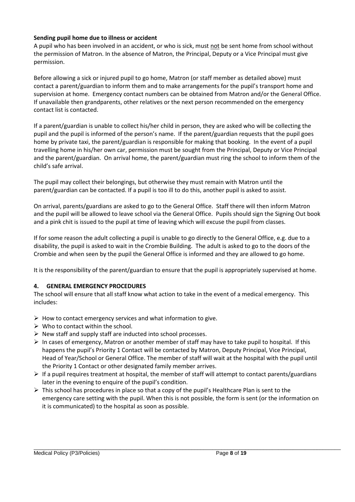#### **Sending pupil home due to illness or accident**

A pupil who has been involved in an accident, or who is sick, must not be sent home from school without the permission of Matron. In the absence of Matron, the Principal, Deputy or a Vice Principal must give permission.

Before allowing a sick or injured pupil to go home, Matron (or staff member as detailed above) must contact a parent/guardian to inform them and to make arrangements for the pupil's transport home and supervision at home. Emergency contact numbers can be obtained from Matron and/or the General Office. If unavailable then grandparents, other relatives or the next person recommended on the emergency contact list is contacted.

If a parent/guardian is unable to collect his/her child in person, they are asked who will be collecting the pupil and the pupil is informed of the person's name. If the parent/guardian requests that the pupil goes home by private taxi, the parent/guardian is responsible for making that booking. In the event of a pupil travelling home in his/her own car, permission must be sought from the Principal, Deputy or Vice Principal and the parent/guardian. On arrival home, the parent/guardian must ring the school to inform them of the child's safe arrival.

The pupil may collect their belongings, but otherwise they must remain with Matron until the parent/guardian can be contacted. If a pupil is too ill to do this, another pupil is asked to assist.

On arrival, parents/guardians are asked to go to the General Office. Staff there will then inform Matron and the pupil will be allowed to leave school via the General Office. Pupils should sign the Signing Out book and a pink chit is issued to the pupil at time of leaving which will excuse the pupil from classes.

If for some reason the adult collecting a pupil is unable to go directly to the General Office, e.g. due to a disability, the pupil is asked to wait in the Crombie Building. The adult is asked to go to the doors of the Crombie and when seen by the pupil the General Office is informed and they are allowed to go home.

It is the responsibility of the parent/guardian to ensure that the pupil is appropriately supervised at home.

#### **4. GENERAL EMERGENCY PROCEDURES**

The school will ensure that all staff know what action to take in the event of a medical emergency. This includes:

- $\triangleright$  How to contact emergency services and what information to give.
- $\triangleright$  Who to contact within the school.
- $\triangleright$  New staff and supply staff are inducted into school processes.
- $\triangleright$  In cases of emergency, Matron or another member of staff may have to take pupil to hospital. If this happens the pupil's Priority 1 Contact will be contacted by Matron, Deputy Principal, Vice Principal, Head of Year/School or General Office. The member of staff will wait at the hospital with the pupil until the Priority 1 Contact or other designated family member arrives.
- $\triangleright$  If a pupil requires treatment at hospital, the member of staff will attempt to contact parents/guardians later in the evening to enquire of the pupil's condition.
- $\triangleright$  This school has procedures in place so that a copy of the pupil's Healthcare Plan is sent to the emergency care setting with the pupil. When this is not possible, the form is sent (or the information on it is communicated) to the hospital as soon as possible.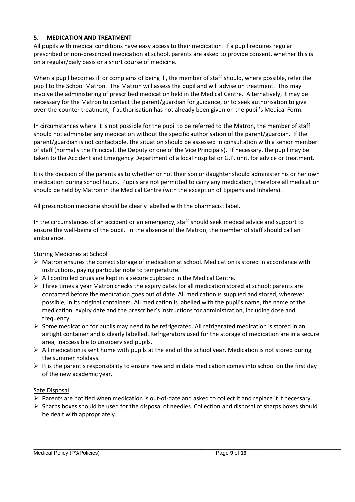#### **5. MEDICATION AND TREATMENT**

All pupils with medical conditions have easy access to their medication. If a pupil requires regular prescribed or non-prescribed medication at school, parents are asked to provide consent, whether this is on a regular/daily basis or a short course of medicine.

When a pupil becomes ill or complains of being ill, the member of staff should, where possible, refer the pupil to the School Matron. The Matron will assess the pupil and will advise on treatment. This may involve the administering of prescribed medication held in the Medical Centre. Alternatively, it may be necessary for the Matron to contact the parent/guardian for guidance, or to seek authorisation to give over-the-counter treatment, if authorisation has not already been given on the pupil's Medical Form.

In circumstances where it is not possible for the pupil to be referred to the Matron, the member of staff should not administer any medication without the specific authorisation of the parent/guardian. If the parent/guardian is not contactable, the situation should be assessed in consultation with a senior member of staff (normally the Principal, the Deputy or one of the Vice Principals). If necessary, the pupil may be taken to the Accident and Emergency Department of a local hospital or G.P. unit, for advice or treatment.

It is the decision of the parents as to whether or not their son or daughter should administer his or her own medication during school hours. Pupils are not permitted to carry any medication, therefore all medication should be held by Matron in the Medical Centre (with the exception of Epipens and Inhalers).

All prescription medicine should be clearly labelled with the pharmacist label.

In the circumstances of an accident or an emergency, staff should seek medical advice and support to ensure the well-being of the pupil. In the absence of the Matron, the member of staff should call an ambulance.

#### Storing Medicines at School

- $\triangleright$  Matron ensures the correct storage of medication at school. Medication is stored in accordance with instructions, paying particular note to temperature.
- $\triangleright$  All controlled drugs are kept in a secure cupboard in the Medical Centre.
- $\triangleright$  Three times a year Matron checks the expiry dates for all medication stored at school; parents are contacted before the medication goes out of date. All medication is supplied and stored, wherever possible, in its original containers. All medication is labelled with the pupil's name, the name of the medication, expiry date and the prescriber's instructions for administration, including dose and frequency.
- $\triangleright$  Some medication for pupils may need to be refrigerated. All refrigerated medication is stored in an airtight container and is clearly labelled. Refrigerators used for the storage of medication are in a secure area, inaccessible to unsupervised pupils.
- $\triangleright$  All medication is sent home with pupils at the end of the school year. Medication is not stored during the summer holidays.
- $\triangleright$  It is the parent's responsibility to ensure new and in date medication comes into school on the first day of the new academic year.

#### Safe Disposal

- $\triangleright$  Parents are notified when medication is out-of-date and asked to collect it and replace it if necessary.
- $\triangleright$  Sharps boxes should be used for the disposal of needles. Collection and disposal of sharps boxes should be dealt with appropriately.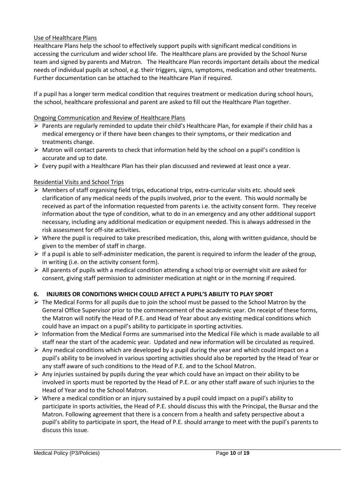#### Use of Healthcare Plans

Healthcare Plans help the school to effectively support pupils with significant medical conditions in accessing the curriculum and wider school life. The Healthcare plans are provided by the School Nurse team and signed by parents and Matron. The Healthcare Plan records important details about the medical needs of individual pupils at school, e.g. their triggers, signs, symptoms, medication and other treatments. Further documentation can be attached to the Healthcare Plan if required.

If a pupil has a longer term medical condition that requires treatment or medication during school hours, the school, healthcare professional and parent are asked to fill out the Healthcare Plan together.

#### Ongoing Communication and Review of Healthcare Plans

- Parents are regularly reminded to update their child's Healthcare Plan, for example if their child has a medical emergency or if there have been changes to their symptoms, or their medication and treatments change.
- $\triangleright$  Matron will contact parents to check that information held by the school on a pupil's condition is accurate and up to date.
- $\triangleright$  Every pupil with a Healthcare Plan has their plan discussed and reviewed at least once a year.

#### Residential Visits and School Trips

- $\triangleright$  Members of staff organising field trips, educational trips, extra-curricular visits etc. should seek clarification of any medical needs of the pupils involved, prior to the event. This would normally be received as part of the information requested from parents i.e. the activity consent form. They receive information about the type of condition, what to do in an emergency and any other additional support necessary, including any additional medication or equipment needed. This is always addressed in the risk assessment for off-site activities.
- $\triangleright$  Where the pupil is required to take prescribed medication, this, along with written guidance, should be given to the member of staff in charge.
- $\triangleright$  If a pupil is able to self-administer medication, the parent is required to inform the leader of the group, in writing (i.e. on the activity consent form).
- $\triangleright$  All parents of pupils with a medical condition attending a school trip or overnight visit are asked for consent, giving staff permission to administer medication at night or in the morning if required.

#### **6. INJURIES OR CONDITIONS WHICH COULD AFFECT A PUPIL'S ABILITY TO PLAY SPORT**

- $\triangleright$  The Medical Forms for all pupils due to join the school must be passed to the School Matron by the General Office Supervisor prior to the commencement of the academic year. On receipt of these forms, the Matron will notify the Head of P.E. and Head of Year about any existing medical conditions which could have an impact on a pupil's ability to participate in sporting activities.
- $\triangleright$  Information from the Medical Forms are summarised into the Medical File which is made available to all staff near the start of the academic year. Updated and new information will be circulated as required.
- $\triangleright$  Any medical conditions which are developed by a pupil during the year and which could impact on a pupil's ability to be involved in various sporting activities should also be reported by the Head of Year or any staff aware of such conditions to the Head of P.E. and to the School Matron.
- $\triangleright$  Any injuries sustained by pupils during the year which could have an impact on their ability to be involved in sports must be reported by the Head of P.E. or any other staff aware of such injuries to the Head of Year and to the School Matron.
- $\triangleright$  Where a medical condition or an injury sustained by a pupil could impact on a pupil's ability to participate in sports activities, the Head of P.E. should discuss this with the Principal, the Bursar and the Matron. Following agreement that there is a concern from a health and safety perspective about a pupil's ability to participate in sport, the Head of P.E. should arrange to meet with the pupil's parents to discuss this issue.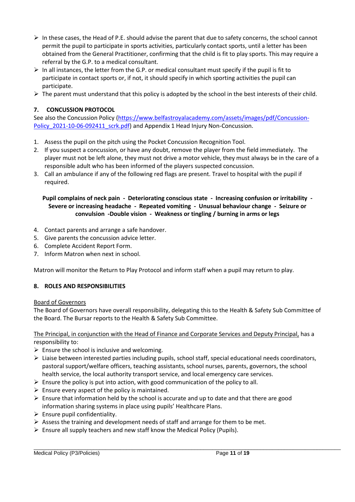- $\triangleright$  In these cases, the Head of P.E. should advise the parent that due to safety concerns, the school cannot permit the pupil to participate in sports activities, particularly contact sports, until a letter has been obtained from the General Practitioner, confirming that the child is fit to play sports. This may require a referral by the G.P. to a medical consultant.
- $\triangleright$  In all instances, the letter from the G.P. or medical consultant must specify if the pupil is fit to participate in contact sports or, if not, it should specify in which sporting activities the pupil can participate.
- $\triangleright$  The parent must understand that this policy is adopted by the school in the best interests of their child.

#### **7. CONCUSSION PROTOCOL**

See also the Concussion Policy [\(https://www.belfastroyalacademy.com/assets/images/pdf/Concussion-](https://www.belfastroyalacademy.com/assets/images/pdf/Concussion-Policy_2021-10-06-092411_scrk.pdf)[Policy\\_2021-10-06-092411\\_scrk.pdf\)](https://www.belfastroyalacademy.com/assets/images/pdf/Concussion-Policy_2021-10-06-092411_scrk.pdf) and Appendix 1 Head Injury Non-Concussion.

- 1. Assess the pupil on the pitch using the Pocket Concussion Recognition Tool.
- 2. If you suspect a concussion, or have any doubt, remove the player from the field immediately. The player must not be left alone, they must not drive a motor vehicle, they must always be in the care of a responsible adult who has been informed of the players suspected concussion.
- 3. Call an ambulance if any of the following red flags are present. Travel to hospital with the pupil if required.

#### **Pupil complains of neck pain - Deteriorating conscious state - Increasing confusion or irritability - Severe or increasing headache - Repeated vomiting - Unusual behaviour change - Seizure or convulsion -Double vision - Weakness or tingling / burning in arms or legs**

- 4. Contact parents and arrange a safe handover.
- 5. Give parents the concussion advice letter.
- 6. Complete Accident Report Form.
- 7. Inform Matron when next in school.

Matron will monitor the Return to Play Protocol and inform staff when a pupil may return to play.

#### **8. ROLES AND RESPONSIBILITIES**

#### Board of Governors

The Board of Governors have overall responsibility, delegating this to the Health & Safety Sub Committee of the Board. The Bursar reports to the Health & Safety Sub Committee.

#### The Principal, in conjunction with the Head of Finance and Corporate Services and Deputy Principal, has a responsibility to:

- $\triangleright$  Ensure the school is inclusive and welcoming.
- $\triangleright$  Liaise between interested parties including pupils, school staff, special educational needs coordinators, pastoral support/welfare officers, teaching assistants, school nurses, parents, governors, the school health service, the local authority transport service, and local emergency care services.
- $\triangleright$  Ensure the policy is put into action, with good communication of the policy to all.
- $\triangleright$  Ensure every aspect of the policy is maintained.
- $\triangleright$  Ensure that information held by the school is accurate and up to date and that there are good information sharing systems in place using pupils' Healthcare Plans.
- $\triangleright$  Ensure pupil confidentiality.
- $\triangleright$  Assess the training and development needs of staff and arrange for them to be met.
- $\triangleright$  Ensure all supply teachers and new staff know the Medical Policy (Pupils).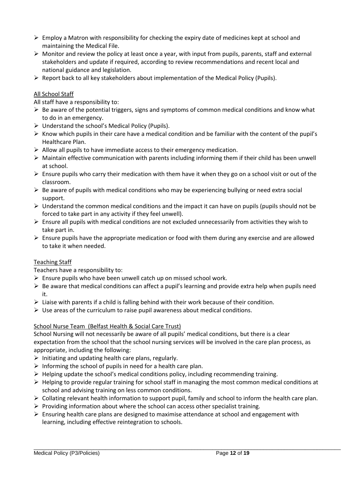- $\triangleright$  Employ a Matron with responsibility for checking the expiry date of medicines kept at school and maintaining the Medical File.
- $\triangleright$  Monitor and review the policy at least once a year, with input from pupils, parents, staff and external stakeholders and update if required, according to review recommendations and recent local and national guidance and legislation.
- $\triangleright$  Report back to all key stakeholders about implementation of the Medical Policy (Pupils).

#### All School Staff

All staff have a responsibility to:

- $\triangleright$  Be aware of the potential triggers, signs and symptoms of common medical conditions and know what to do in an emergency.
- $\triangleright$  Understand the school's Medical Policy (Pupils).
- $\triangleright$  Know which pupils in their care have a medical condition and be familiar with the content of the pupil's Healthcare Plan.
- $\triangleright$  Allow all pupils to have immediate access to their emergency medication.
- $\triangleright$  Maintain effective communication with parents including informing them if their child has been unwell at school.
- $\triangleright$  Ensure pupils who carry their medication with them have it when they go on a school visit or out of the classroom.
- $\triangleright$  Be aware of pupils with medical conditions who may be experiencing bullying or need extra social support.
- $\triangleright$  Understand the common medical conditions and the impact it can have on pupils (pupils should not be forced to take part in any activity if they feel unwell).
- $\triangleright$  Ensure all pupils with medical conditions are not excluded unnecessarily from activities they wish to take part in.
- Ensure pupils have the appropriate medication or food with them during any exercise and are allowed to take it when needed.

#### Teaching Staff

Teachers have a responsibility to:

- $\triangleright$  Ensure pupils who have been unwell catch up on missed school work.
- $\triangleright$  Be aware that medical conditions can affect a pupil's learning and provide extra help when pupils need it.
- $\triangleright$  Liaise with parents if a child is falling behind with their work because of their condition.
- $\triangleright$  Use areas of the curriculum to raise pupil awareness about medical conditions.

#### School Nurse Team (Belfast Health & Social Care Trust)

School Nursing will not necessarily be aware of all pupils' medical conditions, but there is a clear expectation from the school that the school nursing services will be involved in the care plan process, as appropriate, including the following:

- $\triangleright$  Initiating and updating health care plans, regularly.
- $\triangleright$  Informing the school of pupils in need for a health care plan.
- $\triangleright$  Helping update the school's medical conditions policy, including recommending training.
- $\triangleright$  Helping to provide regular training for school staff in managing the most common medical conditions at school and advising training on less common conditions.
- $\triangleright$  Collating relevant health information to support pupil, family and school to inform the health care plan.
- $\triangleright$  Providing information about where the school can access other specialist training.
- $\triangleright$  Ensuring health care plans are designed to maximise attendance at school and engagement with learning, including effective reintegration to schools.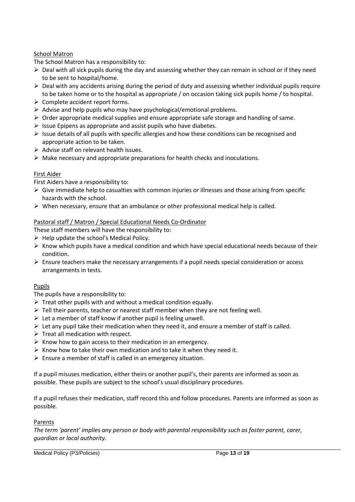#### School Matron

The School Matron has a responsibility to:

- $\triangleright$  Deal with all sick pupils during the day and assessing whether they can remain in school or if they need to be sent to hospital/home.
- $\triangleright$  Deal with any accidents arising during the period of duty and assessing whether individual pupils require to be taken home or to the hospital as appropriate / on occasion taking sick pupils home / to hospital.
- $\triangleright$  Complete accident report forms.
- $\triangleright$  Advise and help pupils who may have psychological/emotional problems.
- $\triangleright$  Order appropriate medical supplies and ensure appropriate safe storage and handling of same.
- $\triangleright$  Issue Epipens as appropriate and assist pupils who have diabetes.
- $\triangleright$  Issue details of all pupils with specific allergies and how these conditions can be recognised and appropriate action to be taken.
- $\triangleright$  Advise staff on relevant health issues.
- $\triangleright$  Make necessary and appropriate preparations for health checks and inoculations.

#### First Aider

First Aiders have a responsibility to:

- $\triangleright$  Give immediate help to casualties with common injuries or illnesses and those arising from specific hazards with the school.
- $\triangleright$  When necessary, ensure that an ambulance or other professional medical help is called.

#### Pastoral staff / Matron / Special Educational Needs Co-Ordinator

These staff members will have the responsibility to:

- $\triangleright$  Help update the school's Medical Policy.
- $\triangleright$  Know which pupils have a medical condition and which have special educational needs because of their condition.
- $\triangleright$  Ensure teachers make the necessary arrangements if a pupil needs special consideration or access arrangements in tests.

#### Pupils

The pupils have a responsibility to:

- $\triangleright$  Treat other pupils with and without a medical condition equally.
- $\triangleright$  Tell their parents, teacher or nearest staff member when they are not feeling well.
- $\triangleright$  Let a member of staff know if another pupil is feeling unwell.
- $\triangleright$  Let any pupil take their medication when they need it, and ensure a member of staff is called.
- $\triangleright$  Treat all medication with respect.
- $\triangleright$  Know how to gain access to their medication in an emergency.
- $\triangleright$  Know how to take their own medication and to take it when they need it.
- $\triangleright$  Ensure a member of staff is called in an emergency situation.

If a pupil misuses medication, either theirs or another pupil's, their parents are informed as soon as possible. These pupils are subject to the school's usual disciplinary procedures.

If a pupil refuses their medication, staff record this and follow procedures. Parents are informed as soon as possible*.*

#### Parents

*The term 'parent' implies any person or body with parental responsibility such as foster parent, carer, guardian or local authority.*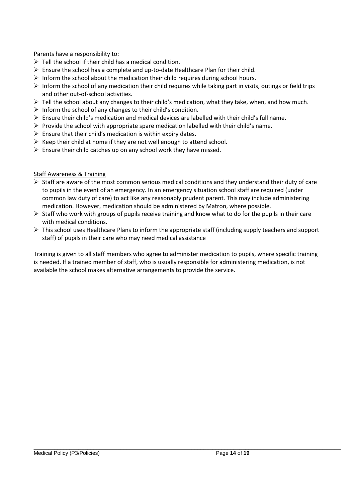Parents have a responsibility to:

- $\triangleright$  Tell the school if their child has a medical condition.
- $\triangleright$  Ensure the school has a complete and up-to-date Healthcare Plan for their child.
- $\triangleright$  Inform the school about the medication their child requires during school hours.
- $\triangleright$  Inform the school of any medication their child requires while taking part in visits, outings or field trips and other out-of-school activities.
- $\triangleright$  Tell the school about any changes to their child's medication, what they take, when, and how much.
- $\triangleright$  Inform the school of any changes to their child's condition.
- $\triangleright$  Ensure their child's medication and medical devices are labelled with their child's full name.
- $\triangleright$  Provide the school with appropriate spare medication labelled with their child's name.
- $\triangleright$  Ensure that their child's medication is within expiry dates.
- $\triangleright$  Keep their child at home if they are not well enough to attend school.
- $\triangleright$  Ensure their child catches up on any school work they have missed.

#### Staff Awareness & Training

- $\triangleright$  Staff are aware of the most common serious medical conditions and they understand their duty of care to pupils in the event of an emergency. In an emergency situation school staff are required (under common law duty of care) to act like any reasonably prudent parent. This may include administering medication. However, medication should be administered by Matron, where possible.
- $\triangleright$  Staff who work with groups of pupils receive training and know what to do for the pupils in their care with medical conditions.
- $\triangleright$  This school uses Healthcare Plans to inform the appropriate staff (including supply teachers and support staff) of pupils in their care who may need medical assistance

Training is given to all staff members who agree to administer medication to pupils, where specific training is needed. If a trained member of staff, who is usually responsible for administering medication, is not available the school makes alternative arrangements to provide the service.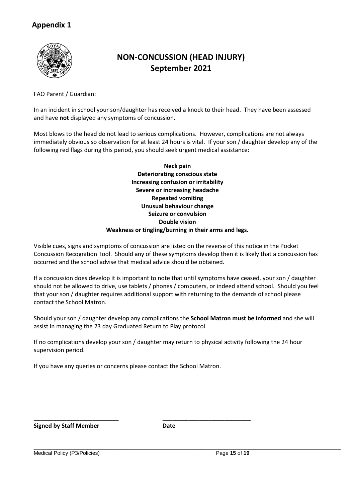

# **NON-CONCUSSION (HEAD INJURY) September 2021**

FAO Parent / Guardian:

In an incident in school your son/daughter has received a knock to their head. They have been assessed and have **not** displayed any symptoms of concussion.

Most blows to the head do not lead to serious complications. However, complications are not always immediately obvious so observation for at least 24 hours is vital. If your son / daughter develop any of the following red flags during this period, you should seek urgent medical assistance:

> **Neck pain Deteriorating conscious state Increasing confusion or irritability Severe or increasing headache Repeated vomiting Unusual behaviour change Seizure or convulsion Double vision Weakness or tingling/burning in their arms and legs.**

Visible cues, signs and symptoms of concussion are listed on the reverse of this notice in the Pocket Concussion Recognition Tool. Should any of these symptoms develop then it is likely that a concussion has occurred and the school advise that medical advice should be obtained.

If a concussion does develop it is important to note that until symptoms have ceased, your son / daughter should not be allowed to drive, use tablets / phones / computers, or indeed attend school. Should you feel that your son / daughter requires additional support with returning to the demands of school please contact the School Matron.

Should your son / daughter develop any complications the **School Matron must be informed** and she will assist in managing the 23 day Graduated Return to Play protocol.

If no complications develop your son / daughter may return to physical activity following the 24 hour supervision period.

If you have any queries or concerns please contact the School Matron.

\_\_\_\_\_\_\_\_\_\_\_\_\_\_\_\_\_\_\_\_\_\_\_\_\_\_ \_\_\_\_\_\_\_\_\_\_\_\_\_\_\_\_\_\_\_\_\_\_\_\_\_\_\_

**Signed by Staff Member Date**

Medical Policy (P3/Policies) Page **15** of **19**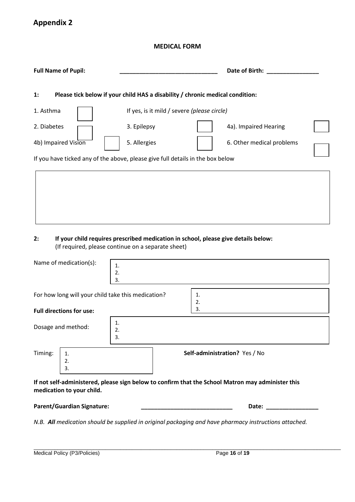#### **MEDICAL FORM**

| <b>Full Name of Pupil:</b>                               | Date of Birth:                                                                     |                           |
|----------------------------------------------------------|------------------------------------------------------------------------------------|---------------------------|
| 1:                                                       | Please tick below if your child HAS a disability / chronic medical condition:      |                           |
| 1. Asthma                                                | If yes, is it mild / severe (please circle)                                        |                           |
| 2. Diabetes                                              | 3. Epilepsy                                                                        | 4a). Impaired Hearing     |
| 4b) Impaired Vision                                      | 5. Allergies                                                                       | 6. Other medical problems |
|                                                          | If you have ticked any of the above, please give full details in the box below     |                           |
|                                                          |                                                                                    |                           |
|                                                          |                                                                                    |                           |
|                                                          |                                                                                    |                           |
|                                                          |                                                                                    |                           |
| 2:<br>(If required, please continue on a separate sheet) | If your child requires prescribed medication in school, please give details below: |                           |

| Name of medication(s):          | 1.<br>2.<br>3. |                                                    |
|---------------------------------|----------------|----------------------------------------------------|
| <b>Full directions for use:</b> |                | 1.<br>2.<br>3.                                     |
| Dosage and method:              | 1.<br>2.<br>3. |                                                    |
| 2.<br>3.                        |                | Self-administration? Yes / No                      |
|                                 |                | For how long will your child take this medication? |

**If not self-administered, please sign below to confirm that the School Matron may administer this medication to your child.**

| <b>Parent/Guardian Signature:</b> | <b>Date:</b> |
|-----------------------------------|--------------|
|-----------------------------------|--------------|

*N.B. All medication should be supplied in original packaging and have pharmacy instructions attached.*

| Medical Policy (P3/Policies) | Page 16 of 19 |  |
|------------------------------|---------------|--|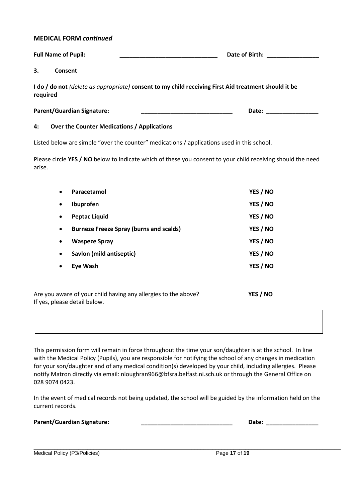#### **MEDICAL FORM** *continued*

|                                                                                                                         | <b>Full Name of Pupil:</b>        | Date of Birth: |  |
|-------------------------------------------------------------------------------------------------------------------------|-----------------------------------|----------------|--|
| З.                                                                                                                      | Consent                           |                |  |
| I do / do not <i>(delete as appropriate)</i> consent to my child receiving First Aid treatment should it be<br>required |                                   |                |  |
|                                                                                                                         | <b>Parent/Guardian Signature:</b> | Date:          |  |

#### **4: Over the Counter Medications / Applications**

Listed below are simple "over the counter" medications / applications used in this school.

Please circle **YES / NO** below to indicate which of these you consent to your child receiving should the need arise.

| $\bullet$ | Paracetamol                                                                                                     | YES / NO |
|-----------|-----------------------------------------------------------------------------------------------------------------|----------|
| $\bullet$ | Ibuprofen                                                                                                       | YES / NO |
| $\bullet$ | <b>Peptac Liquid</b>                                                                                            | YES / NO |
| $\bullet$ | <b>Burneze Freeze Spray (burns and scalds)</b>                                                                  | YES / NO |
| ٠         | <b>Waspeze Spray</b>                                                                                            | YES / NO |
| $\bullet$ | Savlon (mild antiseptic)                                                                                        | YES / NO |
|           | <b>Eye Wash</b>                                                                                                 | YES / NO |
|           |                                                                                                                 |          |
|           | the common of the common the first that the common the common the common the common the common the common the c | 1.000    |

Are you aware of your child having any allergies to the above? **YES / NO** If yes, please detail below.

This permission form will remain in force throughout the time your son/daughter is at the school. In line with the Medical Policy (Pupils), you are responsible for notifying the school of any changes in medication for your son/daughter and of any medical condition(s) developed by your child, including allergies. Please notify Matron directly via email: nloughran966@bfsra.belfast.ni.sch.uk or through the General Office on 028 9074 0423.

In the event of medical records not being updated, the school will be guided by the information held on the current records.

|  |  | <b>Parent/Guardian Signature:</b> |
|--|--|-----------------------------------|
|--|--|-----------------------------------|

**Pate: \_\_\_\_\_\_\_\_\_\_\_\_\_\_\_\_\_\_\_** 

| Medical Policy (P3/Policies) |  |
|------------------------------|--|
|------------------------------|--|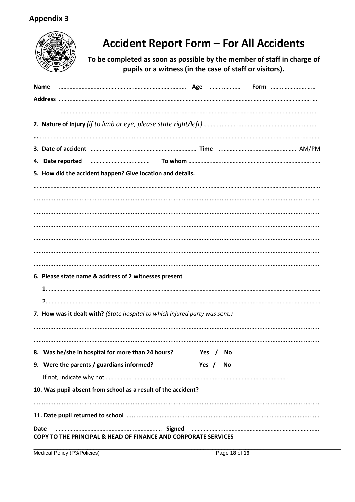

# **Accident Report Form – For All Accidents**

**To be completed as soon as possible by the member of staff in charge of pupils or a witness (in the case of staff or visitors).**

| Name                                                                                                                                                                                                                          |               |  |  |  |
|-------------------------------------------------------------------------------------------------------------------------------------------------------------------------------------------------------------------------------|---------------|--|--|--|
|                                                                                                                                                                                                                               |               |  |  |  |
|                                                                                                                                                                                                                               |               |  |  |  |
|                                                                                                                                                                                                                               |               |  |  |  |
|                                                                                                                                                                                                                               |               |  |  |  |
|                                                                                                                                                                                                                               |               |  |  |  |
| 4. Date reported manufactured and contact To whom manufactured and an analyzing the vertex of the whom manufactured and the vertex of the vertex of the vertex of the vertex of the vertex of the vertex of the vertex of the |               |  |  |  |
| 5. How did the accident happen? Give location and details.                                                                                                                                                                    |               |  |  |  |
|                                                                                                                                                                                                                               |               |  |  |  |
|                                                                                                                                                                                                                               |               |  |  |  |
|                                                                                                                                                                                                                               |               |  |  |  |
|                                                                                                                                                                                                                               |               |  |  |  |
|                                                                                                                                                                                                                               |               |  |  |  |
|                                                                                                                                                                                                                               |               |  |  |  |
|                                                                                                                                                                                                                               |               |  |  |  |
| 6. Please state name & address of 2 witnesses present                                                                                                                                                                         |               |  |  |  |
|                                                                                                                                                                                                                               |               |  |  |  |
|                                                                                                                                                                                                                               |               |  |  |  |
| 7. How was it dealt with? (State hospital to which injured party was sent.)                                                                                                                                                   |               |  |  |  |
|                                                                                                                                                                                                                               |               |  |  |  |
|                                                                                                                                                                                                                               |               |  |  |  |
| 8. Was he/she in hospital for more than 24 hours?                                                                                                                                                                             | Yes / No      |  |  |  |
| 9. Were the parents / guardians informed?                                                                                                                                                                                     | Yes $/$<br>No |  |  |  |
|                                                                                                                                                                                                                               |               |  |  |  |
|                                                                                                                                                                                                                               |               |  |  |  |
| 10. Was pupil absent from school as a result of the accident?                                                                                                                                                                 |               |  |  |  |
|                                                                                                                                                                                                                               |               |  |  |  |
|                                                                                                                                                                                                                               |               |  |  |  |
| Date<br><b>COPY TO THE PRINCIPAL &amp; HEAD OF FINANCE AND CORPORATE SERVICES</b>                                                                                                                                             |               |  |  |  |
|                                                                                                                                                                                                                               |               |  |  |  |

\_\_\_\_\_\_\_\_\_\_\_\_\_\_\_\_\_\_\_\_\_\_\_\_\_\_\_\_\_\_\_\_\_\_\_\_\_\_\_\_\_\_\_\_\_\_\_\_\_\_\_\_\_\_\_\_\_\_\_\_\_\_\_\_\_\_\_\_\_\_\_\_\_\_\_\_\_\_\_\_\_\_\_\_\_\_\_\_\_\_\_\_\_\_\_\_\_\_\_\_\_\_\_ Medical Policy (P3/Policies) Page **18** of **19**